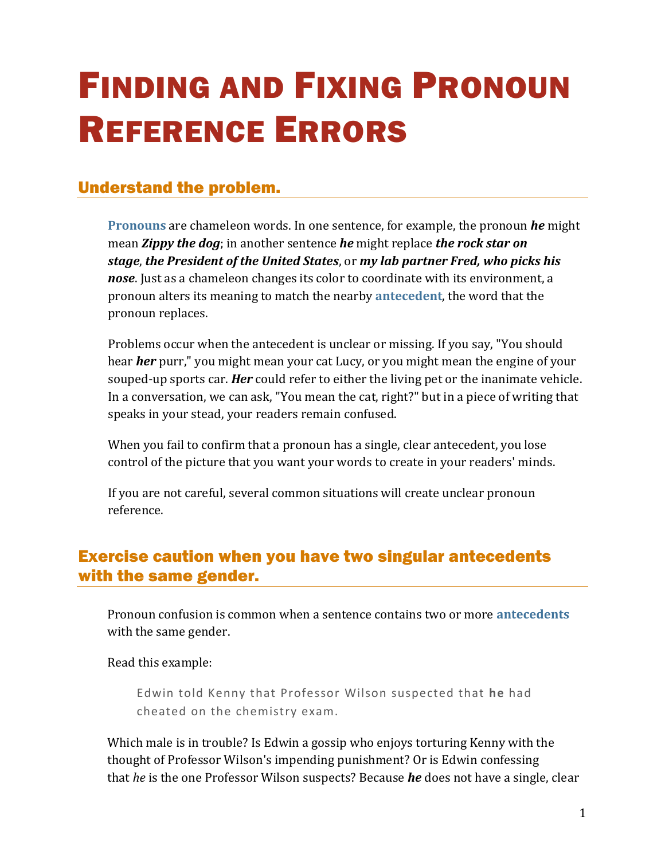# FINDING AND FIXING PRONOUN REFERENCE ERRORS

## Understand the problem.

**[Pronouns](https://chompchomp.com/terms/pronoun.htm)** are chameleon words. In one sentence, for example, the pronoun *he* might mean *Zippy the dog*; in another sentence *he* might replace *the rock star on stage*, *the President of the United States*, or *my lab partner Fred, who picks his nose*. Just as a chameleon changes its color to coordinate with its environment, a pronoun alters its meaning to match the nearby **[antecedent](https://chompchomp.com/terms/antecedent.htm)**, the word that the pronoun replaces.

Problems occur when the antecedent is unclear or missing. If you say, "You should hear *her* purr," you might mean your cat Lucy, or you might mean the engine of your souped-up sports car. *Her* could refer to either the living pet or the inanimate vehicle. In a conversation, we can ask, "You mean the cat, right?" but in a piece of writing that speaks in your stead, your readers remain confused.

When you fail to confirm that a pronoun has a single, clear antecedent, you lose control of the picture that you want your words to create in your readers' minds.

If you are not careful, several common situations will create unclear pronoun reference.

## Exercise caution when you have two singular antecedents with the same gender.

Pronoun confusion is common when a sentence contains two or more **[antecedents](https://chompchomp.com/terms/antecedent.htm)** with the same gender.

Read this example:

Edwin told Kenny that Professor Wilson suspected that **he** had cheated on the chemistry exam.

Which male is in trouble? Is Edwin a gossip who enjoys torturing Kenny with the thought of Professor Wilson's impending punishment? Or is Edwin confessing that *he* is the one Professor Wilson suspects? Because *he* does not have a single, clear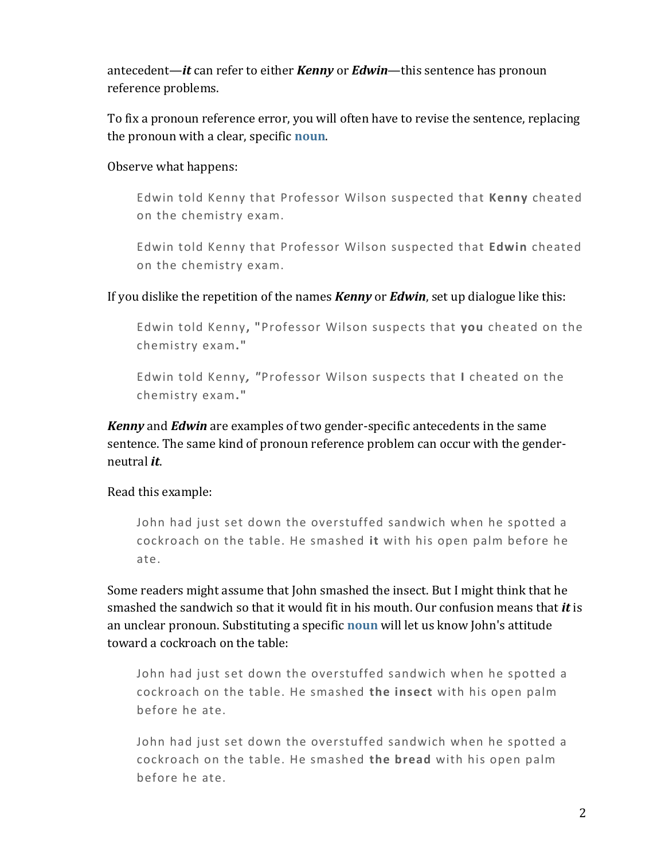antecedent—*it* can refer to either *Kenny* or *Edwin*—this sentence has pronoun reference problems.

To fix a pronoun reference error, you will often have to revise the sentence, replacing the pronoun with a clear, specific **[noun](https://chompchomp.com/terms/noun.htm)**.

#### Observe what happens:

Edwin told Kenny that Professor Wilson suspected that **Kenny** cheated on the chemistry exam.

Edwin told Kenny that Professor Wilson suspected that **Edwin** cheated on the chemistry exam.

#### If you dislike the repetition of the names *Kenny* or *Edwin*, set up dialogue like this:

Edwin told Kenny**, "**Professor Wilson suspects that **you** cheated on the chemistry exam**."**

Edwin told Kenny*, "*Professor Wilson suspects that **I** cheated on the chemistry exam**."**

*Kenny* and *Edwin* are examples of two gender-specific antecedents in the same sentence. The same kind of pronoun reference problem can occur with the genderneutral *it*.

#### Read this example:

John had just set down the overstuffed sandwich when he spotted a cockroach on the table. He smashed **it** with his open palm before he ate.

Some readers might assume that John smashed the insect. But I might think that he smashed the sandwich so that it would fit in his mouth. Our confusion means that *it* is an unclear pronoun. Substituting a specific **[noun](https://chompchomp.com/terms/noun.htm)** will let us know John's attitude toward a cockroach on the table:

John had just set down the overstuffed sandwich when he spotted a cockroach on the table. He smashed **the insect** with his open palm before he ate.

John had just set down the overstuffed sandwich when he spotted a cockroach on the table. He smashed **the bread** with his open palm before he ate.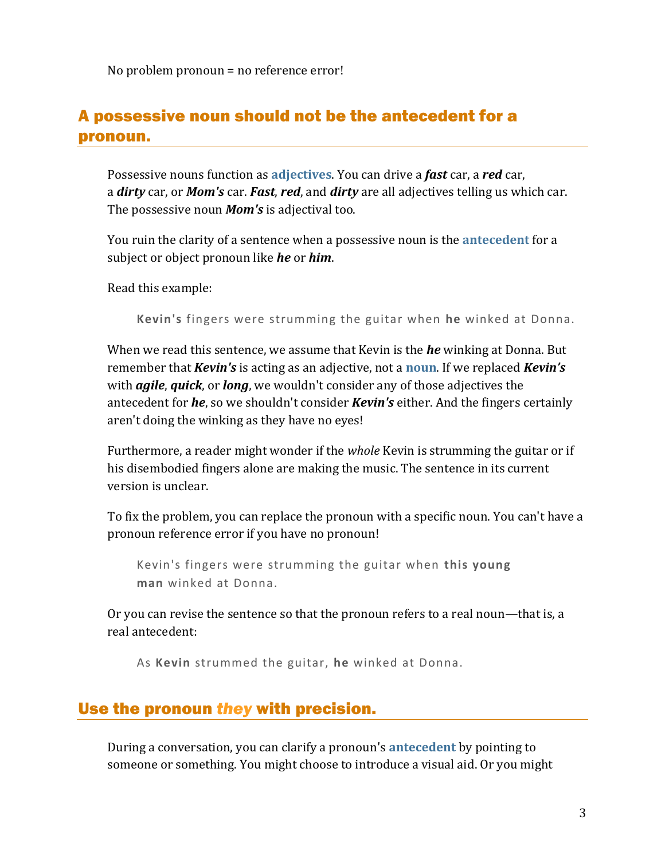No problem pronoun = no reference error!

## A possessive noun should not be the antecedent for a pronoun.

Possessive nouns function as **[adjectives](https://chompchomp.com/terms/adjective.htm)**. You can drive a *fast* car, a *red* car, a *dirty* car, or *Mom's* car. *Fast*, *red*, and *dirty* are all adjectives telling us which car. The possessive noun *Mom's* is adjectival too.

You ruin the clarity of a sentence when a possessive noun is the **[antecedent](https://chompchomp.com/terms/antecedent.htm)** for a subject or object pronoun like *he* or *him*.

Read this example:

**Kevin's** fingers were strumming the guitar when **he** winked at Donna.

When we read this sentence, we assume that Kevin is the *he* winking at Donna. But remember that *Kevin's* is acting as an adjective, not a **[noun](https://chompchomp.com/terms/noun.htm)**. If we replaced *Kevin's* with *agile*, *quick*, or *long*, we wouldn't consider any of those adjectives the antecedent for *he*, so we shouldn't consider *Kevin's* either. And the fingers certainly aren't doing the winking as they have no eyes!

Furthermore, a reader might wonder if the *whole* Kevin is strumming the guitar or if his disembodied fingers alone are making the music. The sentence in its current version is unclear.

To fix the problem, you can replace the pronoun with a specific noun. You can't have a pronoun reference error if you have no pronoun!

Kevin's fingers were strumming the guitar when **this young man** winked at Donna.

Or you can revise the sentence so that the pronoun refers to a real noun—that is, a real antecedent:

As **Kevin** strummed the guitar, **he** winked at Donna.

### Use the pronoun *they* with precision.

During a conversation, you can clarify a pronoun's **[antecedent](https://chompchomp.com/terms/antecedent.htm)** by pointing to someone or something. You might choose to introduce a visual aid. Or you might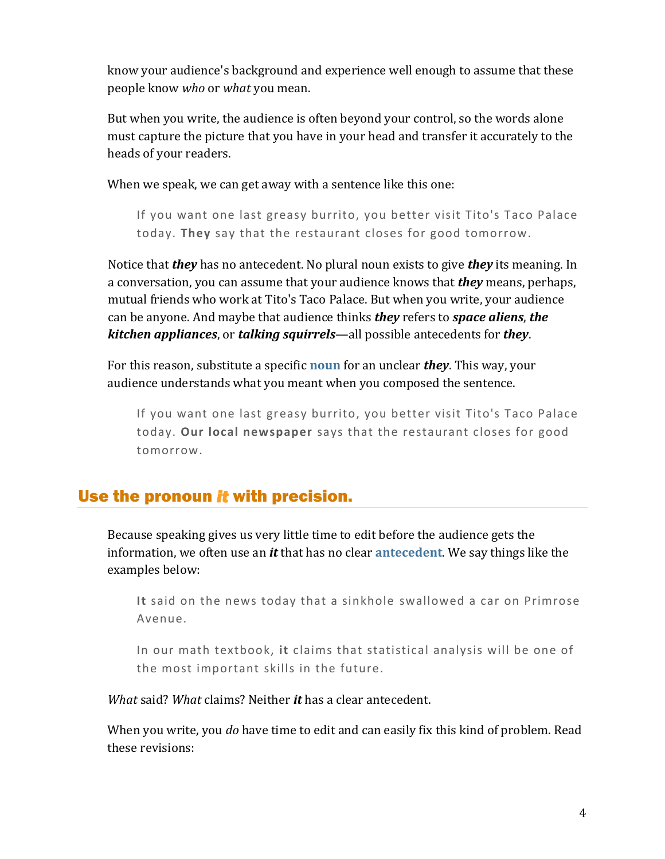know your audience's background and experience well enough to assume that these people know *who* or *what* you mean.

But when you write, the audience is often beyond your control, so the words alone must capture the picture that you have in your head and transfer it accurately to the heads of your readers.

When we speak, we can get away with a sentence like this one:

If you want one last greasy burrito, you better visit Tito's Taco Palace today. **They** say that the restaurant closes for good tomorrow.

Notice that *they* has no antecedent. No plural noun exists to give *they* its meaning. In a conversation, you can assume that your audience knows that *they* means, perhaps, mutual friends who work at Tito's Taco Palace. But when you write, your audience can be anyone. And maybe that audience thinks *they* refers to *space aliens*, *the kitchen appliances*, or *talking squirrels*—all possible antecedents for *they*.

For this reason, substitute a specific **[noun](https://chompchomp.com/terms/noun.htm)** for an unclear *they*. This way, your audience understands what you meant when you composed the sentence.

If you want one last greasy burrito, you better visit Tito's Taco Palace today. **Our local newspaper** says that the restaurant closes for good tomorrow.

## Use the pronoun *it* with precision.

Because speaking gives us very little time to edit before the audience gets the information, we often use an *it* that has no clear **[antecedent](https://chompchomp.com/terms/antecedent.htm)**. We say things like the examples below:

**It** said on the news today that a sinkhole swallowed a car on Primrose Avenue.

In our math textbook, **it** claims that statistical analysis will be one of the most important skills in the future.

*What* said? *What* claims? Neither *it* has a clear antecedent.

When you write, you *do* have time to edit and can easily fix this kind of problem. Read these revisions: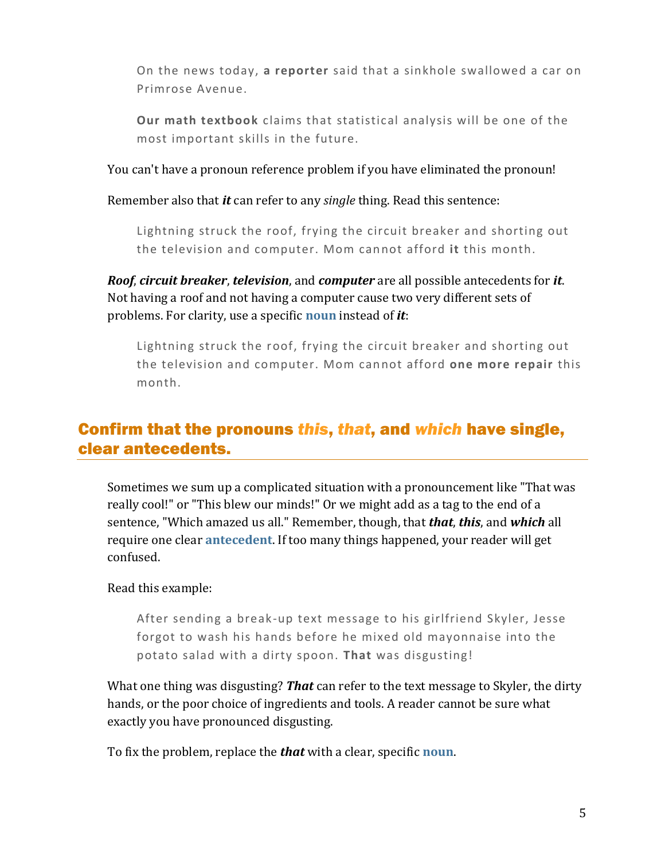On the news today, **a reporter** said that a sinkhole swallowed a car on Primrose Avenue.

**Our math textbook** claims that statistical analysis will be one of the most important skills in the future.

You can't have a pronoun reference problem if you have eliminated the pronoun!

Remember also that *it* can refer to any *single* thing. Read this sentence:

Lightning struck the roof, frying the circuit breaker and shorting out the television and computer. Mom cannot afford **it** this month.

*Roof*, *circuit breaker*, *television*, and *computer* are all possible antecedents for *it*. Not having a roof and not having a computer cause two very different sets of problems. For clarity, use a specific **[noun](https://chompchomp.com/terms/noun.htm)** instead of *it*:

Lightning struck the roof, frying the circuit breaker and shorting out the television and computer. Mom cannot afford **one more repair** this month.

## Confirm that the pronouns *this*, *that*, and *which* have single, clear antecedents.

Sometimes we sum up a complicated situation with a pronouncement like "That was really cool!" or "This blew our minds!" Or we might add as a tag to the end of a sentence, "Which amazed us all." Remember, though, that *that*, *this*, and *which* all require one clear **[antecedent](https://chompchomp.com/terms/antecedent.htm)**. If too many things happened, your reader will get confused.

Read this example:

After sending a break-up text message to his girlfriend Skyler, Jesse forgot to wash his hands before he mixed old mayonnaise into the potato salad with a dirty spoon. **That** was disgusting!

What one thing was disgusting? *That* can refer to the text message to Skyler, the dirty hands, or the poor choice of ingredients and tools. A reader cannot be sure what exactly you have pronounced disgusting.

To fix the problem, replace the *that* with a clear, specific **[noun](https://chompchomp.com/terms/noun.htm)**.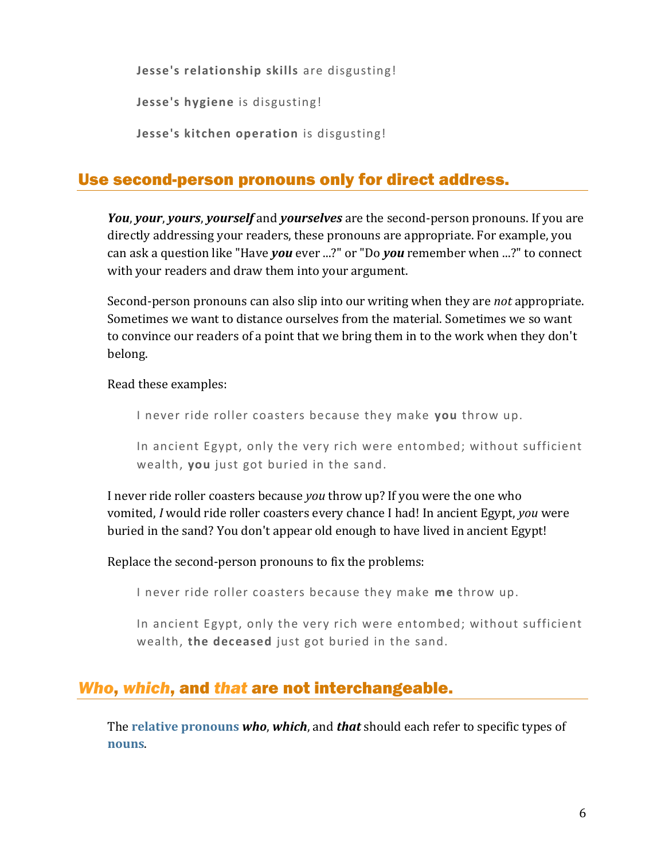**Jesse's relationship skills** are disgusting!

**Jesse's hygiene** is disgusting!

**Jesse's kitchen operation** is disgusting!

## Use second-person pronouns only for direct address.

*You*, *your*, *yours*, *yourself* and *yourselves* are the second-person pronouns. If you are directly addressing your readers, these pronouns are appropriate. For example, you can ask a question like "Have *you* ever ...?" or "Do *you* remember when ...?" to connect with your readers and draw them into your argument.

Second-person pronouns can also slip into our writing when they are *not* appropriate. Sometimes we want to distance ourselves from the material. Sometimes we so want to convince our readers of a point that we bring them in to the work when they don't belong.

Read these examples:

I never ride roller coasters because they make **you** throw up.

In ancient Egypt, only the very rich were entombed; without sufficient wealth, **you** just got buried in the sand.

I never ride roller coasters because *you* throw up? If you were the one who vomited, *I* would ride roller coasters every chance I had! In ancient Egypt, *you* were buried in the sand? You don't appear old enough to have lived in ancient Egypt!

Replace the second-person pronouns to fix the problems:

I never ride roller coasters because they make **me** throw up.

In ancient Egypt, only the very rich were entombed; without sufficient wealth, **the deceased** just got buried in the sand.

# *Who*, *which*, and *that* are not interchangeable.

The **[relative pronouns](https://chompchomp.com/terms/relativepronoun.htm)** *who*, *which*, and *that* should each refer to specific types of **[nouns](https://chompchomp.com/terms/noun.htm)**.